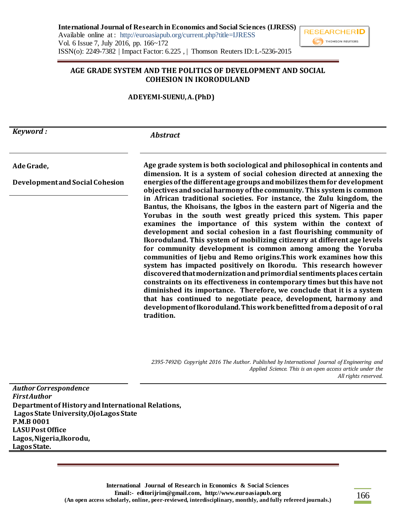#### **AGE GRADE SYSTEM AND THE POLITICS OF DEVELOPMENT AND SOCIAL COHESION IN IKORODULAND**

**ADEYEMI-SUENU, A. (PhD)**

*Keyword :*

### *Abstract*

**Ade Grade,** 

**Development and Social Cohesion**

**Age grade system is both sociological and philosophical in contents and dimension. It is a system of social cohesion directed at annexing the energies of the different age groups and mobilizes them for development objectives and social harmony of the community. This system is common in African traditional societies. For instance, the Zulu kingdom, the Bantus, the Khoisans, the Igbos in the eastern part of Nigeria and the Yorubas in the south west greatly priced this system. This paper examines the importance of this system within the context of development and social cohesion in a fast flourishing community of Ikoroduland. This system of mobilizing citizenry at different age levels for community development is common among among the Yoruba communities of Ijebu and Remo origins.This work examines how this system has impacted positively on Ikorodu. This research however discovered that modernization and primordial sentiments places certain constraints on its effectiveness in contemporary times but this have not diminished its importance. Therefore, we conclude that it is a system that has continued to negotiate peace, development, harmony and development of Ikoroduland. This work benefitted from a deposit of oral tradition.** 

*2395-7492© Copyright 2016 The Author. Published by International Journal of Engineering and Applied Science. This is an open access article under the All rights reserved.*

*Author Correspondence First Author* **Department of History and International Relations, Lagos State University,OjoLagos State P.M.B 0001 LASU Post Office Lagos, Nigeria,Ikorodu, Lagos State.**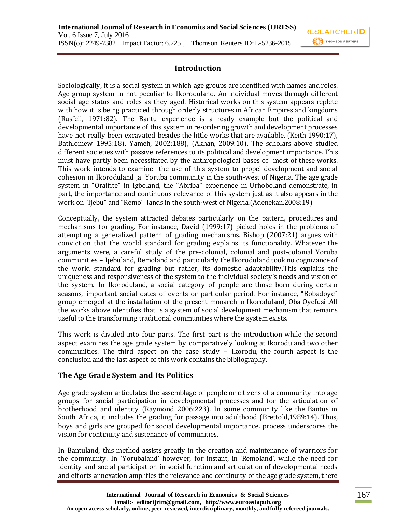### **Introduction**

Sociologically, it is a social system in which age groups are identified with names and roles. Age group system in not peculiar to Ikoroduland. An individual moves through different social age status and roles as they aged. Historical works on this system appears replete with how it is being practiced through orderly structures in African Empires and kingdoms (Rusfell, 1971:82). The Bantu experience is a ready example but the political and developmental importance of this system in re-ordering growth and development processes have not really been excavated besides the little works that are available. (Keith 1990:17), Bathlomew 1995:18), Yameh, 2002:188), (Akhan, 2009:10). The scholars above studied different societies with passive references to its political and development importance. This must have partly been necessitated by the anthropological bases of most of these works. This work intends to examine the use of this system to propel development and social cohesion in Ikoroduland ,a Yoruba community in the south-west of Nigeria. The age grade system in "Oraifite" in Igboland, the "Abriba" experience in Urhoboland demonstrate, in part, the importance and continuous relevance of this system just as it also appears in the work on "Ijebu" and "Remo" lands in the south-west of Nigeria.(Adenekan,2008:19)

Conceptually, the system attracted debates particularly on the pattern, procedures and mechanisms for grading. For instance, David (1999:17) picked holes in the problems of attempting a generalized pattern of grading mechanisms. Bishop (2007:21) argues with conviction that the world standard for grading explains its functionality. Whatever the arguments were, a careful study of the pre-colonial, colonial and post-colonial Yoruba communities – Ijebuland, Remoland and particularly the Ikoroduland took no cognizance of the world standard for grading but rather, its domestic adaptability.This explains the uniqueness and responsiveness of the system to the individual society's needs and vision of the system. In Ikoroduland, a social category of people are those born during certain seasons, important social dates of events or particular period. For instance, "Bobadoye" group emerged at the installation of the present monarch in Ikoroduland¸ Oba Oyefusi .All the works above identifies that is a system of social development mechanism that remains useful to the transforming traditional communities where the system exists.

This work is divided into four parts. The first part is the introduction while the second aspect examines the age grade system by comparatively looking at Ikorodu and two other communities. The third aspect on the case study – Ikorodu, the fourth aspect is the conclusion and the last aspect of this work contains the bibliography.

### **The Age Grade System and Its Politics**

Age grade system articulates the assemblage of people or citizens of a community into age groups for social participation in developmental processes and for the articulation of brotherhood and identity (Raymond 2006:223). In some community like the Bantus in South Africa, it includes the grading for passage into adulthood (Brettold,1989:14). Thus, boys and girls are grouped for social developmental importance. process underscores the vision for continuity and sustenance of communities.

In Bantuland, this method assists greatly in the creation and maintenance of warriors for the community. In 'Yorubaland' however, for instant, in 'Remoland', while the need for identity and social participation in social function and articulation of developmental needs and efforts annexation amplifies the relevance and continuity of the age grade system, there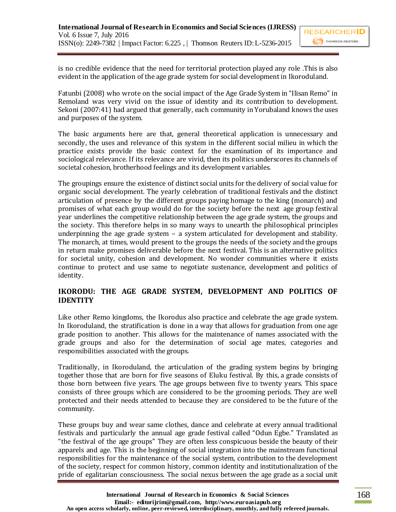is no credible evidence that the need for territorial protection played any role .This is also evident in the application of the age grade system for social development in Ikoroduland.

Fatunbi (2008) who wrote on the social impact of the Age Grade System in "Ilisan Remo" in Remoland was very vivid on the issue of identity and its contribution to development. Sekoni (2007:41) had argued that generally, each community in Yorubaland knows the uses and purposes of the system.

The basic arguments here are that, general theoretical application is unnecessary and secondly, the uses and relevance of this system in the different social milieu in which the practice exists provide the basic context for the examination of its importance and sociological relevance. If its relevance are vivid, then its politics underscores its channels of societal cohesion, brotherhood feelings and its development variables.

The groupings ensure the existence of distinct social units for the delivery of social value for organic social development. The yearly celebration of traditional festivals and the distinct articulation of presence by the different groups paying homage to the king (monarch) and promises of what each group would do for the society before the next age group festival year underlines the competitive relationship between the age grade system, the groups and the society. This therefore helps in so many ways to unearth the philosophical principles underpinning the age grade system – a system articulated for development and stability. The monarch, at times, would present to the groups the needs of the society and the groups in return make promises deliverable before the next festival. This is an alternative politics for societal unity, cohesion and development. No wonder communities where it exists continue to protect and use same to negotiate sustenance, development and politics of identity.

## **IKORODU: THE AGE GRADE SYSTEM, DEVELOPMENT AND POLITICS OF IDENTITY**

Like other Remo kingdoms, the Ikorodus also practice and celebrate the age grade system. In Ikoroduland, the stratification is done in a way that allows for graduation from one age grade position to another. This allows for the maintenance of names associated with the grade groups and also for the determination of social age mates, categories and responsibilities associated with the groups.

Traditionally, in Ikoroduland, the articulation of the grading system begins by bringing together those that are born for five seasons of Eluku festival. By this, a grade consists of those born between five years. The age groups between five to twenty years. This space consists of three groups which are considered to be the grooming periods. They are well protected and their needs attended to because they are considered to be the future of the community.

These groups buy and wear same clothes, dance and celebrate at every annual traditional festivals and particularly the annual age grade festival called "Odun Egbe." Translated as "the festival of the age groups" They are often less conspicuous beside the beauty of their apparels and age. This is the beginning of social integration into the mainstream functional responsibilities for the maintenance of the social system, contribution to the development of the society, respect for common history, common identity and institutionalization of the pride of egalitarian consciousness. The social nexus between the age grade as a social unit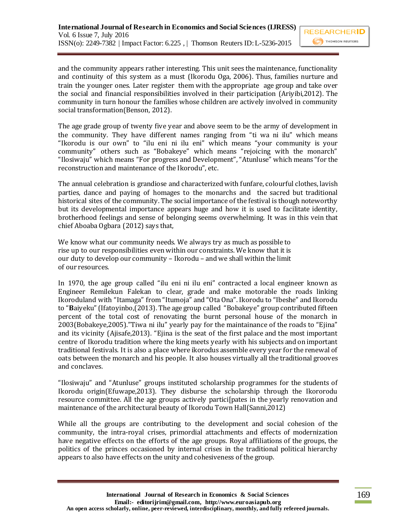and the community appears rather interesting. This unit sees the maintenance, functionality and continuity of this system as a must (Ikorodu Oga, 2006). Thus, families nurture and train the younger ones. Later register them with the appropriate age group and take over the social and financial responsibilities involved in their participation (Ariyibi,2012). The community in turn honour the families whose children are actively involved in community social transformation(Benson, 2012).

The age grade group of twenty five year and above seem to be the army of development in the community. They have different names ranging from "ti wa ni ilu" which means "Ikorodu is our own" to "ilu eni ni ilu eni" which means "your community is your community" others such as "Bobakeye" which means "rejoicing with the monarch" "Ilosiwaju" which means "For progress and Development", "Atunluse" which means "for the reconstruction and maintenance of the Ikorodu", etc.

The annual celebration is grandiose and characterized with funfare, colourful clothes, lavish parties, dance and paying of homages to the monarchs and the sacred but traditional historical sites of the community. The social importance of the festival is though noteworthy but its developmental importance appears huge and how it is used to facilitate identity, brotherhood feelings and sense of belonging seems overwhelming. It was in this vein that chief Aboaba Ogbara (2012) says that,

We know what our community needs. We always try as much as possible to rise up to our responsibilities even within our constraints. We know that it is our duty to develop our community – Ikorodu – and we shall within the limit of our resources.

In 1970, the age group called "ilu eni ni ilu eni" contracted a local engineer known as Engineer Remilekun Falekan to clear, grade and make motorable the roads linking Ikoroduland with "Itamaga" from "Itumoja" and "Ota Ona". Ikorodu to "Ibeshe" and Ikorodu to "**B**aiyeku" (Ifatoyinbo,(2013). The age group called "Bobakeye" group contributed fifteen percent of the total cost of renovating the burnt personal house of the monarch in 2003(Bobakeye,2005)."Tiwa ni ilu" yearly pay for the maintainance of the roads to "Ejina" and its vicinity (Ajisafe,2013). "Ejina is the seat of the first palace and the most important centre of Ikorodu tradition where the king meets yearly with his subjects and on important traditional festivals. It is also a place where ikorodus assemble every year for the renewal of oats between the monarch and his people. It also houses virtually all the traditional grooves and conclaves.

"Ilosiwaju" and "Atunluse" groups instituted scholarship programmes for the students of Ikorodu origin(Efuwape,2013). They disburse the scholarship through the Ikororodu resource committee. All the age groups actively partici[pates in the yearly renovation and maintenance of the architectural beauty of Ikorodu Town Hall(Sanni,2012)

While all the groups are contributing to the development and social cohesion of the community, the intra-royal crises, primordial attachments and effects of modernization have negative effects on the efforts of the age groups. Royal affiliations of the groups, the politics of the princes occasioned by internal crises in the traditional political hierarchy appears to also have effects on the unity and cohesiveness of the group.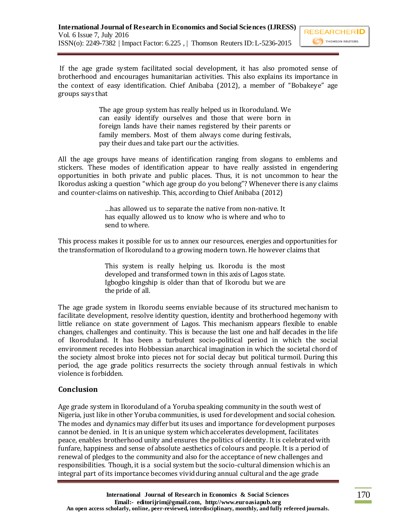If the age grade system facilitated social development, it has also promoted sense of brotherhood and encourages humanitarian activities. This also explains its importance in the context of easy identification. Chief Anibaba (2012), a member of "Bobakeye" age groups says that

> The age group system has really helped us in Ikoroduland. We can easily identify ourselves and those that were born in foreign lands have their names registered by their parents or family members. Most of them always come during festivals, pay their dues and take part our the activities.

All the age groups have means of identification ranging from slogans to emblems and stickers. These modes of identification appear to have really assisted in engendering opportunities in both private and public places. Thus, it is not uncommon to hear the Ikorodus asking a question "which age group do you belong"? Whenever there is any claims and counter-claims on nativeship. This, according to Chief Anibaba (2012)

> …has allowed us to separate the native from non-native. It has equally allowed us to know who is where and who to send to where.

This process makes it possible for us to annex our resources, energies and opportunities for the transformation of Ikoroduland to a growing modern town. He however claims that

> This system is really helping us. Ikorodu is the most developed and transformed town in this axis of Lagos state. Igbogbo kingship is older than that of Ikorodu but we are the pride of all.

The age grade system in Ikorodu seems enviable because of its structured mechanism to facilitate development, resolve identity question, identity and brotherhood hegemony with little reliance on state government of Lagos. This mechanism appears flexible to enable changes, challenges and continuity. This is because the last one and half decades in the life of Ikoroduland. It has been a turbulent socio-political period in which the social environment recedes into Hobbessian anarchical imagination in which the societal chord of the society almost broke into pieces not for social decay but political turmoil. During this period, the age grade politics resurrects the society through annual festivals in which violence is forbidden.

## **Conclusion**

Age grade system in Ikoroduland of a Yoruba speaking community in the south west of Nigeria, just like in other Yoruba communities, is used for development and social cohesion. The modes and dynamics may differ but its uses and importance for development purposes cannot be denied. in It is an unique system which accelerates development, facilitates peace, enables brotherhood unity and ensures the politics of identity. It is celebrated with funfare, happiness and sense of absolute aesthetics of colours and people. It is a period of renewal of pledges to the community and also for the acceptance of new challenges and responsibilities. Though, it is a social system but the socio-cultural dimension which is an integral part of its importance becomes vivid during annual cultural and the age grade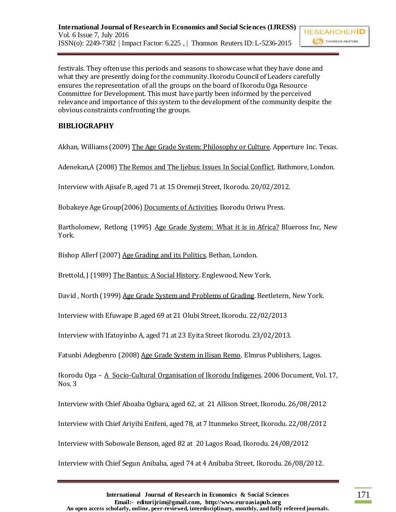festivals. They often use this periods and seasons to showcase what they have done and what they are presently doing for the community. Ikorodu Council of Leaders carefully ensures the representation of all the groups on the board of Ikorodu Oga Resource Committee for Development. This must have partly been informed by the perceived relevance and importance of this system to the development of the community despite the obvious constraints confronting the groups.

# **BIBLIOGRAPHY**

Akhan, Williams (2009) The Age Grade System: Philosophy or Culture. Apperture Inc. Texas.

Adenekan,A (2008) The Remos and The Ijebus: Issues In Social Conflict. Bathmore, London.

Interview with Ajisafe B, aged 71 at 15 Oremeji Street, Ikorodu. 20/02/2012.

Bobakeye Age Group(2006) Documents of Activities. Ikorodu Oriwu Press.

Bartholomew, Retlong (1995) Age Grade System: What it is in Africa? Blueross Inc, New York.

Bishop Allerf (2007) Age Grading and its Politics, Bethan, London.

Brettold, J (1989) The Bantus: A Social History. Englewood, New York.

David , North (1999) Age Grade System and Problems of Grading. Beetletern, New York.

Interview with Efuwape B ,aged 69 at 21 Olubi Street, Ikorodu. 22/02/2013

Interview with Ifatoyinbo A, aged 71 at 23 Eyita Street Ikorodu. 23/02/2013.

Fatunbi Adegbenro (2008) Age Grade System in Ilisan Remo. Elmrus Publishers, Lagos.

Ikorodu Oga – A Socio-Cultural Organisation of Ikorodu Indigenes. 2006 Document, Vol. 17, Nos. 3

Interview with Chief Aboaba Ogbara, aged 62, at 21 Allison Street, Ikorodu. 26/08/2012

Interview with Chief Ariyibi Enifeni, aged 78, at 7 Itunmeko Street, Ikorodu. 22/08/2012

Interview with Sobowale Benson, aged 82 at 20 Lagos Road, Ikorodu. 24/08/2012

Interview with Chief Segun Anibaba, aged 74 at 4 Anibaba Street, Ikorodu. 26/08/2012.